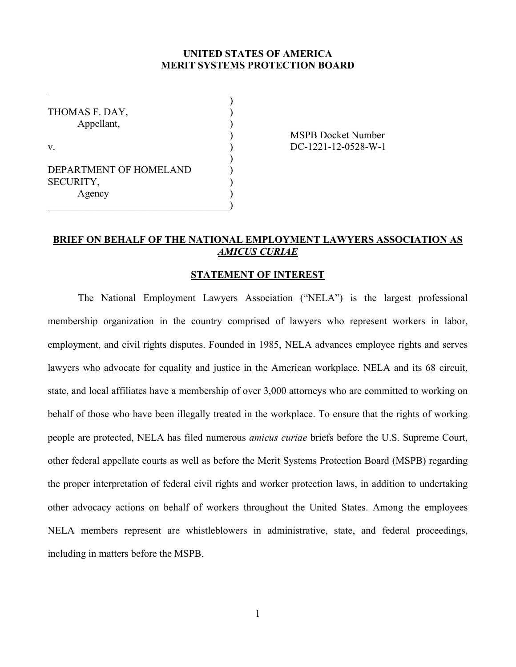### **UNITED STATES OF AMERICA MERIT SYSTEMS PROTECTION BOARD**

)

)

THOMAS F. DAY, ) Appellant, )

DEPARTMENT OF HOMELAND  $)$ SECURITY, Agency )

 $\qquad \qquad )$ 

 $\mathcal{L}_\text{max}$ 

) MSPB Docket Number v. DC-1221-12-0528-W-1

# **BRIEF ON BEHALF OF THE NATIONAL EMPLOYMENT LAWYERS ASSOCIATION AS**  *AMICUS CURIAE*

#### **STATEMENT OF INTEREST**

The National Employment Lawyers Association ("NELA") is the largest professional membership organization in the country comprised of lawyers who represent workers in labor, employment, and civil rights disputes. Founded in 1985, NELA advances employee rights and serves lawyers who advocate for equality and justice in the American workplace. NELA and its 68 circuit, state, and local affiliates have a membership of over 3,000 attorneys who are committed to working on behalf of those who have been illegally treated in the workplace. To ensure that the rights of working people are protected, NELA has filed numerous *amicus curiae* briefs before the U.S. Supreme Court, other federal appellate courts as well as before the Merit Systems Protection Board (MSPB) regarding the proper interpretation of federal civil rights and worker protection laws, in addition to undertaking other advocacy actions on behalf of workers throughout the United States. Among the employees NELA members represent are whistleblowers in administrative, state, and federal proceedings, including in matters before the MSPB.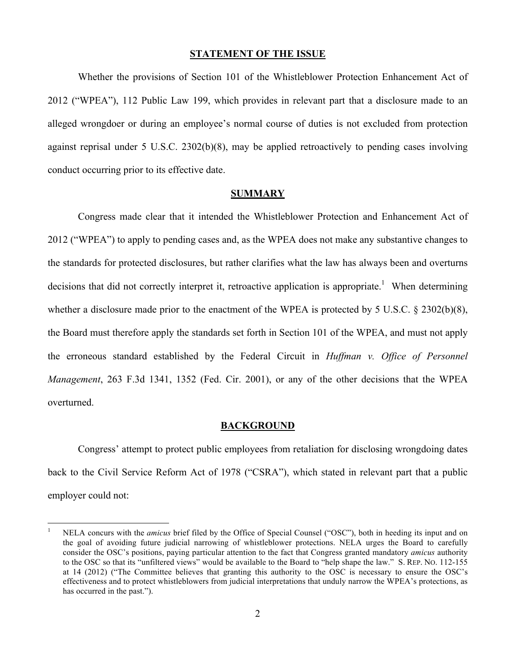#### **STATEMENT OF THE ISSUE**

Whether the provisions of Section 101 of the Whistleblower Protection Enhancement Act of 2012 ("WPEA"), 112 Public Law 199, which provides in relevant part that a disclosure made to an alleged wrongdoer or during an employee's normal course of duties is not excluded from protection against reprisal under 5 U.S.C. 2302(b)(8), may be applied retroactively to pending cases involving conduct occurring prior to its effective date.

#### **SUMMARY**

Congress made clear that it intended the Whistleblower Protection and Enhancement Act of 2012 ("WPEA") to apply to pending cases and, as the WPEA does not make any substantive changes to the standards for protected disclosures, but rather clarifies what the law has always been and overturns decisions that did not correctly interpret it, retroactive application is appropriate.<sup>1</sup> When determining whether a disclosure made prior to the enactment of the WPEA is protected by 5 U.S.C. § 2302(b)(8), the Board must therefore apply the standards set forth in Section 101 of the WPEA, and must not apply the erroneous standard established by the Federal Circuit in *Huffman v. Office of Personnel Management*, 263 F.3d 1341, 1352 (Fed. Cir. 2001), or any of the other decisions that the WPEA overturned.

#### **BACKGROUND**

Congress' attempt to protect public employees from retaliation for disclosing wrongdoing dates back to the Civil Service Reform Act of 1978 ("CSRA"), which stated in relevant part that a public employer could not:

 <sup>1</sup> NELA concurs with the *amicus* brief filed by the Office of Special Counsel ("OSC"), both in heeding its input and on the goal of avoiding future judicial narrowing of whistleblower protections. NELA urges the Board to carefully consider the OSC's positions, paying particular attention to the fact that Congress granted mandatory *amicus* authority to the OSC so that its "unfiltered views" would be available to the Board to "help shape the law." S. REP. NO. 112-155 at 14 (2012) ("The Committee believes that granting this authority to the OSC is necessary to ensure the OSC's effectiveness and to protect whistleblowers from judicial interpretations that unduly narrow the WPEA's protections, as has occurred in the past.").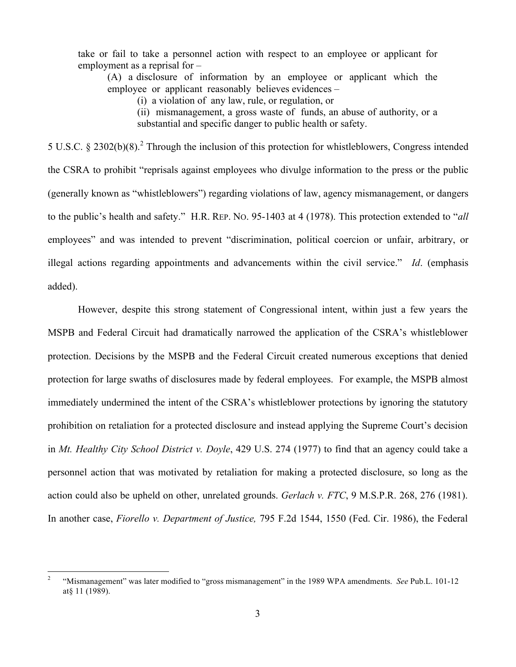take or fail to take a personnel action with respect to an employee or applicant for employment as a reprisal for –

(A) a disclosure of information by an employee or applicant which the employee or applicant reasonably believes evidences –

(i) a violation of any law, rule, or regulation, or

(ii) mismanagement, a gross waste of funds, an abuse of authority, or a

substantial and specific danger to public health or safety.

5 U.S.C. § 2302(b)(8).<sup>2</sup> Through the inclusion of this protection for whistleblowers, Congress intended the CSRA to prohibit "reprisals against employees who divulge information to the press or the public (generally known as "whistleblowers") regarding violations of law, agency mismanagement, or dangers to the public's health and safety." H.R. REP. NO. 95-1403 at 4 (1978). This protection extended to "*all* employees" and was intended to prevent "discrimination, political coercion or unfair, arbitrary, or illegal actions regarding appointments and advancements within the civil service." *Id*. (emphasis added).

However, despite this strong statement of Congressional intent, within just a few years the MSPB and Federal Circuit had dramatically narrowed the application of the CSRA's whistleblower protection. Decisions by the MSPB and the Federal Circuit created numerous exceptions that denied protection for large swaths of disclosures made by federal employees. For example, the MSPB almost immediately undermined the intent of the CSRA's whistleblower protections by ignoring the statutory prohibition on retaliation for a protected disclosure and instead applying the Supreme Court's decision in *Mt. Healthy City School District v. Doyle*, 429 U.S. 274 (1977) to find that an agency could take a personnel action that was motivated by retaliation for making a protected disclosure, so long as the action could also be upheld on other, unrelated grounds. *Gerlach v. FTC*, 9 M.S.P.R. 268, 276 (1981). In another case, *Fiorello v. Department of Justice,* 795 F.2d 1544, 1550 (Fed. Cir. 1986), the Federal

 <sup>2</sup> "Mismanagement" was later modified to "gross mismanagement" in the 1989 WPA amendments. *See* Pub.L. 101-12 at§ 11 (1989).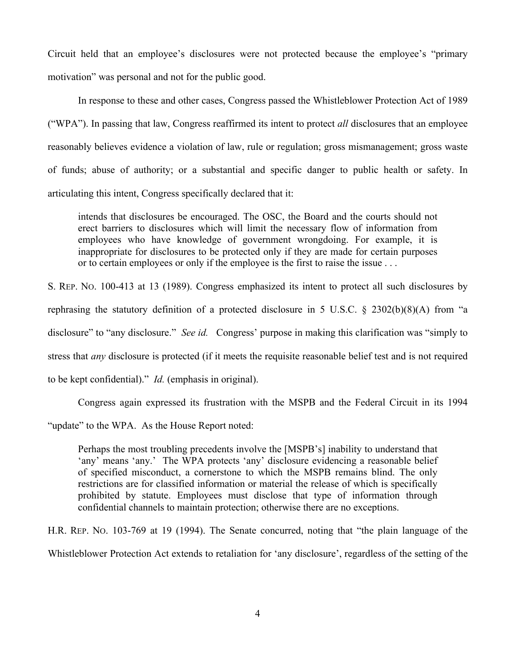Circuit held that an employee's disclosures were not protected because the employee's "primary motivation" was personal and not for the public good.

In response to these and other cases, Congress passed the Whistleblower Protection Act of 1989 ("WPA"). In passing that law, Congress reaffirmed its intent to protect *all* disclosures that an employee reasonably believes evidence a violation of law, rule or regulation; gross mismanagement; gross waste of funds; abuse of authority; or a substantial and specific danger to public health or safety. In articulating this intent, Congress specifically declared that it:

intends that disclosures be encouraged. The OSC, the Board and the courts should not erect barriers to disclosures which will limit the necessary flow of information from employees who have knowledge of government wrongdoing. For example, it is inappropriate for disclosures to be protected only if they are made for certain purposes or to certain employees or only if the employee is the first to raise the issue . . .

S. REP. NO. 100-413 at 13 (1989). Congress emphasized its intent to protect all such disclosures by rephrasing the statutory definition of a protected disclosure in 5 U.S.C. § 2302(b)(8)(A) from "a disclosure" to "any disclosure." *See id.* Congress' purpose in making this clarification was "simply to stress that *any* disclosure is protected (if it meets the requisite reasonable belief test and is not required to be kept confidential)." *Id.* (emphasis in original).

Congress again expressed its frustration with the MSPB and the Federal Circuit in its 1994

"update" to the WPA. As the House Report noted:

Perhaps the most troubling precedents involve the [MSPB's] inability to understand that 'any' means 'any.' The WPA protects 'any' disclosure evidencing a reasonable belief of specified misconduct, a cornerstone to which the MSPB remains blind. The only restrictions are for classified information or material the release of which is specifically prohibited by statute. Employees must disclose that type of information through confidential channels to maintain protection; otherwise there are no exceptions.

H.R. REP. NO. 103-769 at 19 (1994). The Senate concurred, noting that "the plain language of the Whistleblower Protection Act extends to retaliation for 'any disclosure', regardless of the setting of the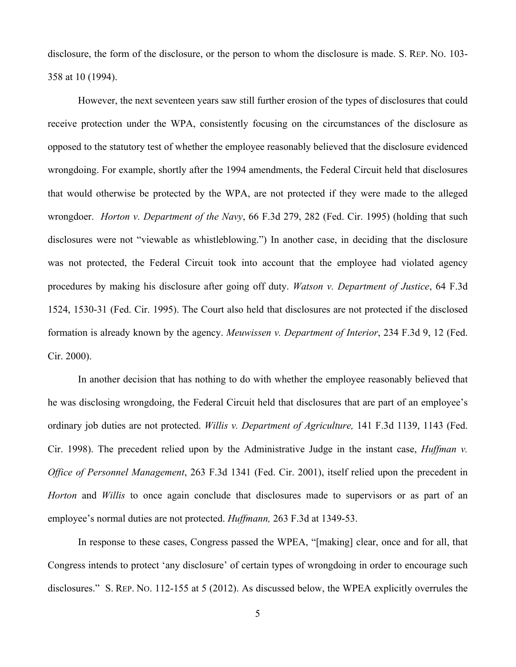disclosure, the form of the disclosure, or the person to whom the disclosure is made. S. REP. NO. 103- 358 at 10 (1994).

However, the next seventeen years saw still further erosion of the types of disclosures that could receive protection under the WPA, consistently focusing on the circumstances of the disclosure as opposed to the statutory test of whether the employee reasonably believed that the disclosure evidenced wrongdoing. For example, shortly after the 1994 amendments, the Federal Circuit held that disclosures that would otherwise be protected by the WPA, are not protected if they were made to the alleged wrongdoer. *Horton v. Department of the Navy*, 66 F.3d 279, 282 (Fed. Cir. 1995) (holding that such disclosures were not "viewable as whistleblowing.") In another case, in deciding that the disclosure was not protected, the Federal Circuit took into account that the employee had violated agency procedures by making his disclosure after going off duty. *Watson v. Department of Justice*, 64 F.3d 1524, 1530-31 (Fed. Cir. 1995). The Court also held that disclosures are not protected if the disclosed formation is already known by the agency. *Meuwissen v. Department of Interior*, 234 F.3d 9, 12 (Fed. Cir. 2000).

In another decision that has nothing to do with whether the employee reasonably believed that he was disclosing wrongdoing, the Federal Circuit held that disclosures that are part of an employee's ordinary job duties are not protected. *Willis v. Department of Agriculture,* 141 F.3d 1139, 1143 (Fed. Cir. 1998). The precedent relied upon by the Administrative Judge in the instant case, *Huffman v. Office of Personnel Management*, 263 F.3d 1341 (Fed. Cir. 2001), itself relied upon the precedent in *Horton* and *Willis* to once again conclude that disclosures made to supervisors or as part of an employee's normal duties are not protected. *Huffmann,* 263 F.3d at 1349-53.

In response to these cases, Congress passed the WPEA, "[making] clear, once and for all, that Congress intends to protect 'any disclosure' of certain types of wrongdoing in order to encourage such disclosures." S. REP. NO. 112-155 at 5 (2012). As discussed below, the WPEA explicitly overrules the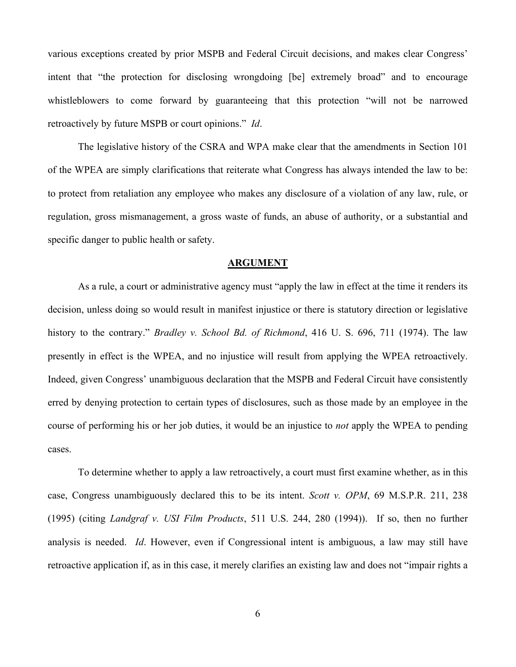various exceptions created by prior MSPB and Federal Circuit decisions, and makes clear Congress' intent that "the protection for disclosing wrongdoing [be] extremely broad" and to encourage whistleblowers to come forward by guaranteeing that this protection "will not be narrowed retroactively by future MSPB or court opinions." *Id*.

The legislative history of the CSRA and WPA make clear that the amendments in Section 101 of the WPEA are simply clarifications that reiterate what Congress has always intended the law to be: to protect from retaliation any employee who makes any disclosure of a violation of any law, rule, or regulation, gross mismanagement, a gross waste of funds, an abuse of authority, or a substantial and specific danger to public health or safety.

#### **ARGUMENT**

As a rule, a court or administrative agency must "apply the law in effect at the time it renders its decision, unless doing so would result in manifest injustice or there is statutory direction or legislative history to the contrary." *Bradley v. School Bd. of Richmond*, 416 U. S. 696, 711 (1974). The law presently in effect is the WPEA, and no injustice will result from applying the WPEA retroactively. Indeed, given Congress' unambiguous declaration that the MSPB and Federal Circuit have consistently erred by denying protection to certain types of disclosures, such as those made by an employee in the course of performing his or her job duties, it would be an injustice to *not* apply the WPEA to pending cases.

To determine whether to apply a law retroactively, a court must first examine whether, as in this case, Congress unambiguously declared this to be its intent. *Scott v. OPM*, 69 M.S.P.R. 211, 238 (1995) (citing *Landgraf v. USI Film Products*, 511 U.S. 244, 280 (1994)). If so, then no further analysis is needed. *Id*. However, even if Congressional intent is ambiguous, a law may still have retroactive application if, as in this case, it merely clarifies an existing law and does not "impair rights a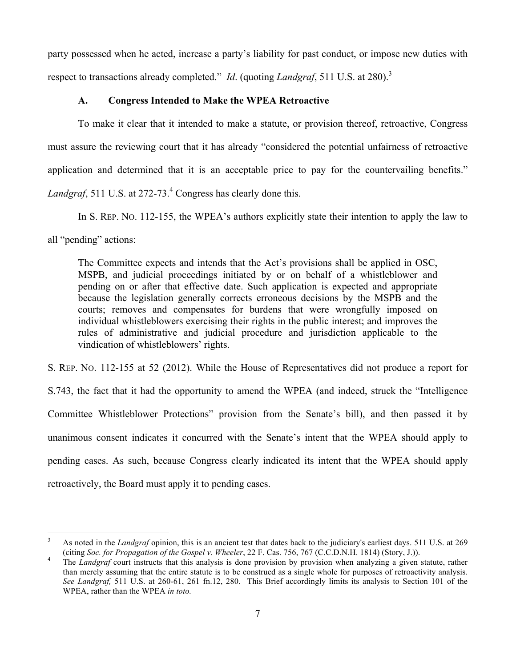party possessed when he acted, increase a party's liability for past conduct, or impose new duties with respect to transactions already completed." *Id.* (quoting *Landgraf*, 511 U.S. at 280).<sup>3</sup>

### **A. Congress Intended to Make the WPEA Retroactive**

To make it clear that it intended to make a statute, or provision thereof, retroactive, Congress must assure the reviewing court that it has already "considered the potential unfairness of retroactive application and determined that it is an acceptable price to pay for the countervailing benefits." Landgraf, 511 U.S. at 272-73.<sup>4</sup> Congress has clearly done this.

In S. REP. NO. 112-155, the WPEA's authors explicitly state their intention to apply the law to

all "pending" actions:

The Committee expects and intends that the Act's provisions shall be applied in OSC, MSPB, and judicial proceedings initiated by or on behalf of a whistleblower and pending on or after that effective date. Such application is expected and appropriate because the legislation generally corrects erroneous decisions by the MSPB and the courts; removes and compensates for burdens that were wrongfully imposed on individual whistleblowers exercising their rights in the public interest; and improves the rules of administrative and judicial procedure and jurisdiction applicable to the vindication of whistleblowers' rights.

S. REP. NO. 112-155 at 52 (2012). While the House of Representatives did not produce a report for S.743, the fact that it had the opportunity to amend the WPEA (and indeed, struck the "Intelligence Committee Whistleblower Protections" provision from the Senate's bill), and then passed it by unanimous consent indicates it concurred with the Senate's intent that the WPEA should apply to pending cases. As such, because Congress clearly indicated its intent that the WPEA should apply retroactively, the Board must apply it to pending cases.

As noted in the *Landgraf* opinion, this is an ancient test that dates back to the judiciary's earliest days. 511 U.S. at 269 (citing *Soc. for Propagation of the Gospel v. Wheeler*, 22 F. Cas. 756, 767 (C.C.D.N.H. 1814) (

The *Landgraf* court instructs that this analysis is done provision by provision when analyzing a given statute, rather than merely assuming that the entire statute is to be construed as a single whole for purposes of retroactivity analysis*. See Landgraf,* 511 U.S. at 260-61, 261 fn.12, 280. This Brief accordingly limits its analysis to Section 101 of the WPEA, rather than the WPEA *in toto.*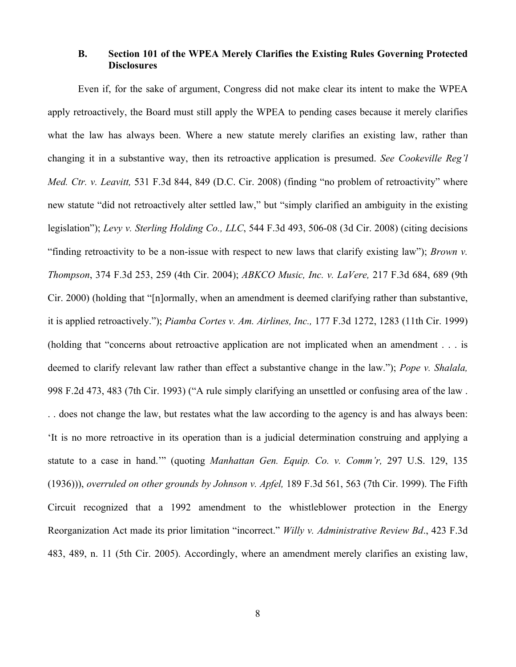# **B. Section 101 of the WPEA Merely Clarifies the Existing Rules Governing Protected Disclosures**

Even if, for the sake of argument, Congress did not make clear its intent to make the WPEA apply retroactively, the Board must still apply the WPEA to pending cases because it merely clarifies what the law has always been. Where a new statute merely clarifies an existing law, rather than changing it in a substantive way, then its retroactive application is presumed. *See Cookeville Reg'l Med. Ctr. v. Leavitt,* 531 F.3d 844, 849 (D.C. Cir. 2008) (finding "no problem of retroactivity" where new statute "did not retroactively alter settled law," but "simply clarified an ambiguity in the existing legislation"); *Levy v. Sterling Holding Co., LLC*, 544 F.3d 493, 506-08 (3d Cir. 2008) (citing decisions "finding retroactivity to be a non-issue with respect to new laws that clarify existing law"); *Brown v. Thompson*, 374 F.3d 253, 259 (4th Cir. 2004); *ABKCO Music, Inc. v. LaVere,* 217 F.3d 684, 689 (9th Cir. 2000) (holding that "[n]ormally, when an amendment is deemed clarifying rather than substantive, it is applied retroactively."); *Piamba Cortes v. Am. Airlines, Inc.,* 177 F.3d 1272, 1283 (11th Cir. 1999) (holding that "concerns about retroactive application are not implicated when an amendment . . . is deemed to clarify relevant law rather than effect a substantive change in the law."); *Pope v. Shalala,*  998 F.2d 473, 483 (7th Cir. 1993) ("A rule simply clarifying an unsettled or confusing area of the law . . . does not change the law, but restates what the law according to the agency is and has always been: 'It is no more retroactive in its operation than is a judicial determination construing and applying a statute to a case in hand.'" (quoting *Manhattan Gen. Equip. Co. v. Comm'r,* 297 U.S. 129, 135 (1936))), *overruled on other grounds by Johnson v. Apfel,* 189 F.3d 561, 563 (7th Cir. 1999). The Fifth

Circuit recognized that a 1992 amendment to the whistleblower protection in the Energy Reorganization Act made its prior limitation "incorrect." *Willy v. Administrative Review Bd*., 423 F.3d 483, 489, n. 11 (5th Cir. 2005). Accordingly, where an amendment merely clarifies an existing law,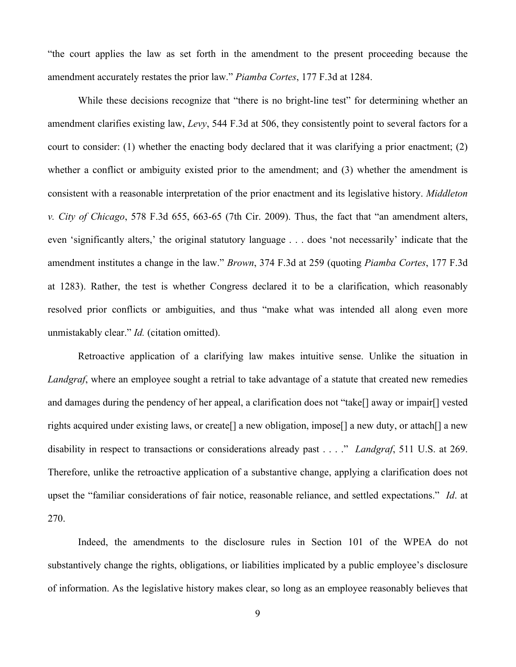"the court applies the law as set forth in the amendment to the present proceeding because the amendment accurately restates the prior law." *Piamba Cortes*, 177 F.3d at 1284.

While these decisions recognize that "there is no bright-line test" for determining whether an amendment clarifies existing law, *Levy*, 544 F.3d at 506, they consistently point to several factors for a court to consider: (1) whether the enacting body declared that it was clarifying a prior enactment; (2) whether a conflict or ambiguity existed prior to the amendment; and (3) whether the amendment is consistent with a reasonable interpretation of the prior enactment and its legislative history. *Middleton v. City of Chicago*, 578 F.3d 655, 663-65 (7th Cir. 2009). Thus, the fact that "an amendment alters, even 'significantly alters,' the original statutory language . . . does 'not necessarily' indicate that the amendment institutes a change in the law." *Brown*, 374 F.3d at 259 (quoting *Piamba Cortes*, 177 F.3d at 1283). Rather, the test is whether Congress declared it to be a clarification, which reasonably resolved prior conflicts or ambiguities, and thus "make what was intended all along even more unmistakably clear." *Id.* (citation omitted).

Retroactive application of a clarifying law makes intuitive sense. Unlike the situation in *Landgraf*, where an employee sought a retrial to take advantage of a statute that created new remedies and damages during the pendency of her appeal, a clarification does not "take[] away or impair[] vested rights acquired under existing laws, or create[] a new obligation, impose[] a new duty, or attach[] a new disability in respect to transactions or considerations already past . . . ." *Landgraf*, 511 U.S. at 269. Therefore, unlike the retroactive application of a substantive change, applying a clarification does not upset the "familiar considerations of fair notice, reasonable reliance, and settled expectations." *Id*. at 270.

Indeed, the amendments to the disclosure rules in Section 101 of the WPEA do not substantively change the rights, obligations, or liabilities implicated by a public employee's disclosure of information. As the legislative history makes clear, so long as an employee reasonably believes that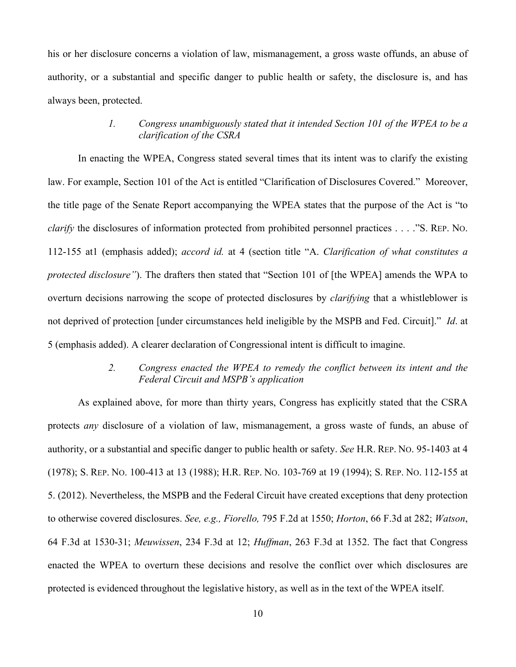his or her disclosure concerns a violation of law, mismanagement, a gross waste offunds, an abuse of authority, or a substantial and specific danger to public health or safety, the disclosure is, and has always been, protected.

### *1. Congress unambiguously stated that it intended Section 101 of the WPEA to be a clarification of the CSRA*

In enacting the WPEA, Congress stated several times that its intent was to clarify the existing law. For example, Section 101 of the Act is entitled "Clarification of Disclosures Covered." Moreover, the title page of the Senate Report accompanying the WPEA states that the purpose of the Act is "to *clarify* the disclosures of information protected from prohibited personnel practices . . . ."S. REP. NO. 112-155 at1 (emphasis added); *accord id.* at 4 (section title "A. *Clarification of what constitutes a protected disclosure"*). The drafters then stated that "Section 101 of [the WPEA] amends the WPA to overturn decisions narrowing the scope of protected disclosures by *clarifying* that a whistleblower is not deprived of protection [under circumstances held ineligible by the MSPB and Fed. Circuit]." *Id*. at 5 (emphasis added). A clearer declaration of Congressional intent is difficult to imagine.

# *2. Congress enacted the WPEA to remedy the conflict between its intent and the Federal Circuit and MSPB's application*

As explained above, for more than thirty years, Congress has explicitly stated that the CSRA protects *any* disclosure of a violation of law, mismanagement, a gross waste of funds, an abuse of authority, or a substantial and specific danger to public health or safety. *See* H.R. REP. NO. 95-1403 at 4 (1978); S. REP. NO. 100-413 at 13 (1988); H.R. REP. NO. 103-769 at 19 (1994); S. REP. NO. 112-155 at 5. (2012). Nevertheless, the MSPB and the Federal Circuit have created exceptions that deny protection to otherwise covered disclosures. *See, e.g., Fiorello,* 795 F.2d at 1550; *Horton*, 66 F.3d at 282; *Watson*, 64 F.3d at 1530-31; *Meuwissen*, 234 F.3d at 12; *Huffman*, 263 F.3d at 1352. The fact that Congress enacted the WPEA to overturn these decisions and resolve the conflict over which disclosures are protected is evidenced throughout the legislative history, as well as in the text of the WPEA itself.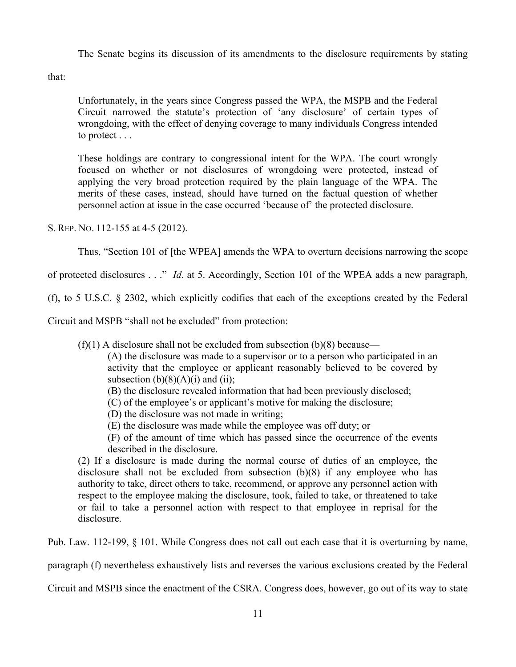The Senate begins its discussion of its amendments to the disclosure requirements by stating

that:

Unfortunately, in the years since Congress passed the WPA, the MSPB and the Federal Circuit narrowed the statute's protection of 'any disclosure' of certain types of wrongdoing, with the effect of denying coverage to many individuals Congress intended to protect . . .

These holdings are contrary to congressional intent for the WPA. The court wrongly focused on whether or not disclosures of wrongdoing were protected, instead of applying the very broad protection required by the plain language of the WPA. The merits of these cases, instead, should have turned on the factual question of whether personnel action at issue in the case occurred 'because of' the protected disclosure.

S. REP. NO. 112-155 at 4-5 (2012).

Thus, "Section 101 of [the WPEA] amends the WPA to overturn decisions narrowing the scope

of protected disclosures . . ." *Id*. at 5. Accordingly, Section 101 of the WPEA adds a new paragraph,

(f), to 5 U.S.C. § 2302, which explicitly codifies that each of the exceptions created by the Federal

Circuit and MSPB "shall not be excluded" from protection:

 $(f)(1)$  A disclosure shall not be excluded from subsection  $(b)(8)$  because—

(A) the disclosure was made to a supervisor or to a person who participated in an activity that the employee or applicant reasonably believed to be covered by subsection  $(b)(8)(A)(i)$  and  $(ii)$ ;

- (B) the disclosure revealed information that had been previously disclosed;
- (C) of the employee's or applicant's motive for making the disclosure;
- (D) the disclosure was not made in writing;
- (E) the disclosure was made while the employee was off duty; or
- (F) of the amount of time which has passed since the occurrence of the events described in the disclosure.

(2) If a disclosure is made during the normal course of duties of an employee, the disclosure shall not be excluded from subsection (b)(8) if any employee who has authority to take, direct others to take, recommend, or approve any personnel action with respect to the employee making the disclosure, took, failed to take, or threatened to take or fail to take a personnel action with respect to that employee in reprisal for the disclosure.

Pub. Law. 112-199, § 101. While Congress does not call out each case that it is overturning by name,

paragraph (f) nevertheless exhaustively lists and reverses the various exclusions created by the Federal

Circuit and MSPB since the enactment of the CSRA. Congress does, however, go out of its way to state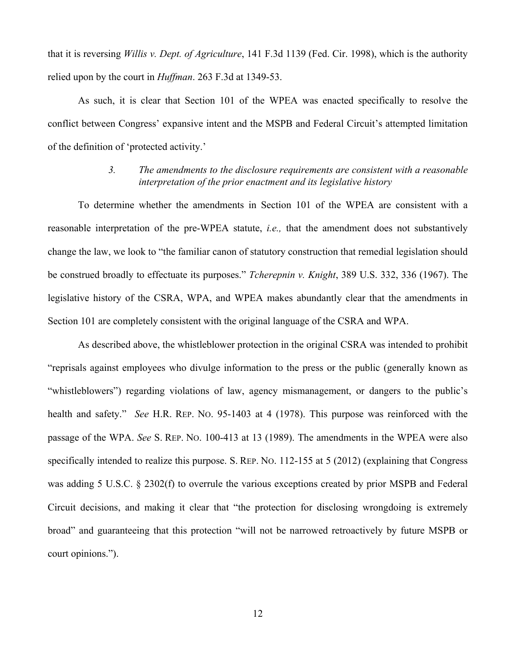that it is reversing *Willis v. Dept. of Agriculture*, 141 F.3d 1139 (Fed. Cir. 1998), which is the authority relied upon by the court in *Huffman*. 263 F.3d at 1349-53.

As such, it is clear that Section 101 of the WPEA was enacted specifically to resolve the conflict between Congress' expansive intent and the MSPB and Federal Circuit's attempted limitation of the definition of 'protected activity.'

# *3. The amendments to the disclosure requirements are consistent with a reasonable interpretation of the prior enactment and its legislative history*

To determine whether the amendments in Section 101 of the WPEA are consistent with a reasonable interpretation of the pre-WPEA statute, *i.e.,* that the amendment does not substantively change the law, we look to "the familiar canon of statutory construction that remedial legislation should be construed broadly to effectuate its purposes." *Tcherepnin v. Knight*, 389 U.S. 332, 336 (1967). The legislative history of the CSRA, WPA, and WPEA makes abundantly clear that the amendments in Section 101 are completely consistent with the original language of the CSRA and WPA.

As described above, the whistleblower protection in the original CSRA was intended to prohibit "reprisals against employees who divulge information to the press or the public (generally known as "whistleblowers") regarding violations of law, agency mismanagement, or dangers to the public's health and safety." *See* H.R. REP. NO. 95-1403 at 4 (1978). This purpose was reinforced with the passage of the WPA. *See* S. REP. NO. 100-413 at 13 (1989). The amendments in the WPEA were also specifically intended to realize this purpose. S. REP. NO. 112-155 at 5 (2012) (explaining that Congress was adding 5 U.S.C. § 2302(f) to overrule the various exceptions created by prior MSPB and Federal Circuit decisions, and making it clear that "the protection for disclosing wrongdoing is extremely broad" and guaranteeing that this protection "will not be narrowed retroactively by future MSPB or court opinions.").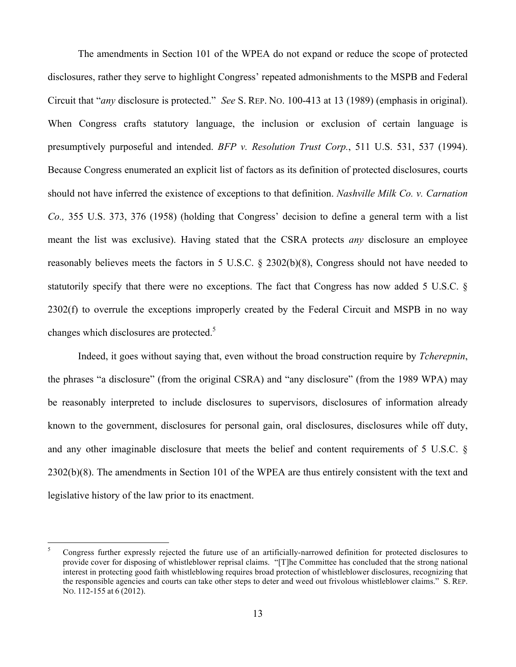The amendments in Section 101 of the WPEA do not expand or reduce the scope of protected disclosures, rather they serve to highlight Congress' repeated admonishments to the MSPB and Federal Circuit that "*any* disclosure is protected." *See* S. REP. NO. 100-413 at 13 (1989) (emphasis in original). When Congress crafts statutory language, the inclusion or exclusion of certain language is presumptively purposeful and intended. *BFP v. Resolution Trust Corp.*, 511 U.S. 531, 537 (1994). Because Congress enumerated an explicit list of factors as its definition of protected disclosures, courts should not have inferred the existence of exceptions to that definition. *Nashville Milk Co. v. Carnation Co.,* 355 U.S. 373, 376 (1958) (holding that Congress' decision to define a general term with a list meant the list was exclusive). Having stated that the CSRA protects *any* disclosure an employee reasonably believes meets the factors in 5 U.S.C. § 2302(b)(8), Congress should not have needed to statutorily specify that there were no exceptions. The fact that Congress has now added 5 U.S.C. § 2302(f) to overrule the exceptions improperly created by the Federal Circuit and MSPB in no way changes which disclosures are protected.<sup>5</sup>

Indeed, it goes without saying that, even without the broad construction require by *Tcherepnin*, the phrases "a disclosure" (from the original CSRA) and "any disclosure" (from the 1989 WPA) may be reasonably interpreted to include disclosures to supervisors, disclosures of information already known to the government, disclosures for personal gain, oral disclosures, disclosures while off duty, and any other imaginable disclosure that meets the belief and content requirements of 5 U.S.C. § 2302(b)(8). The amendments in Section 101 of the WPEA are thus entirely consistent with the text and legislative history of the law prior to its enactment.

 <sup>5</sup> Congress further expressly rejected the future use of an artificially-narrowed definition for protected disclosures to provide cover for disposing of whistleblower reprisal claims. "[T]he Committee has concluded that the strong national interest in protecting good faith whistleblowing requires broad protection of whistleblower disclosures, recognizing that the responsible agencies and courts can take other steps to deter and weed out frivolous whistleblower claims." S. REP. NO. 112-155 at 6 (2012).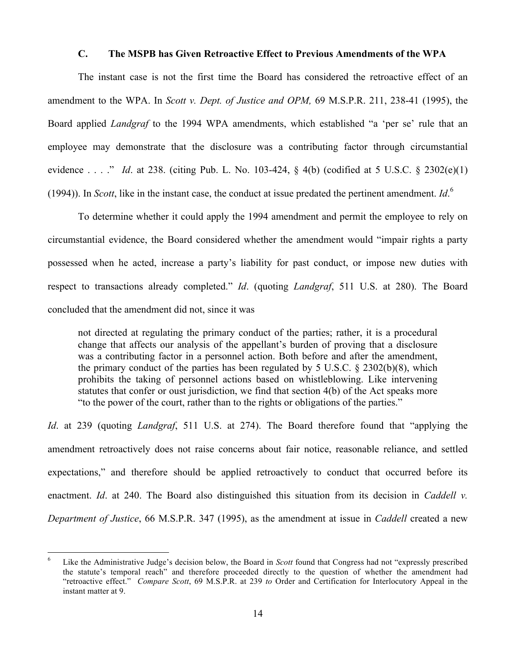#### **C. The MSPB has Given Retroactive Effect to Previous Amendments of the WPA**

The instant case is not the first time the Board has considered the retroactive effect of an amendment to the WPA. In *Scott v. Dept. of Justice and OPM,* 69 M.S.P.R. 211, 238-41 (1995), the Board applied *Landgraf* to the 1994 WPA amendments, which established "a 'per se' rule that an employee may demonstrate that the disclosure was a contributing factor through circumstantial evidence . . . ." *Id*. at 238. (citing Pub. L. No. 103-424, § 4(b) (codified at 5 U.S.C. § 2302(e)(1) (1994)). In *Scott*, like in the instant case, the conduct at issue predated the pertinent amendment. *Id*. 6

To determine whether it could apply the 1994 amendment and permit the employee to rely on circumstantial evidence, the Board considered whether the amendment would "impair rights a party possessed when he acted, increase a party's liability for past conduct, or impose new duties with respect to transactions already completed." *Id*. (quoting *Landgraf*, 511 U.S. at 280). The Board concluded that the amendment did not, since it was

not directed at regulating the primary conduct of the parties; rather, it is a procedural change that affects our analysis of the appellant's burden of proving that a disclosure was a contributing factor in a personnel action. Both before and after the amendment, the primary conduct of the parties has been regulated by 5 U.S.C. § 2302(b)(8), which prohibits the taking of personnel actions based on whistleblowing. Like intervening statutes that confer or oust jurisdiction, we find that section 4(b) of the Act speaks more "to the power of the court, rather than to the rights or obligations of the parties."

*Id*. at 239 (quoting *Landgraf*, 511 U.S. at 274). The Board therefore found that "applying the amendment retroactively does not raise concerns about fair notice, reasonable reliance, and settled expectations," and therefore should be applied retroactively to conduct that occurred before its enactment. *Id*. at 240. The Board also distinguished this situation from its decision in *Caddell v. Department of Justice*, 66 M.S.P.R. 347 (1995), as the amendment at issue in *Caddell* created a new

 <sup>6</sup> Like the Administrative Judge's decision below, the Board in *Scott* found that Congress had not "expressly prescribed the statute's temporal reach" and therefore proceeded directly to the question of whether the amendment had "retroactive effect." *Compare Scott*, 69 M.S.P.R. at 239 *to* Order and Certification for Interlocutory Appeal in the instant matter at 9.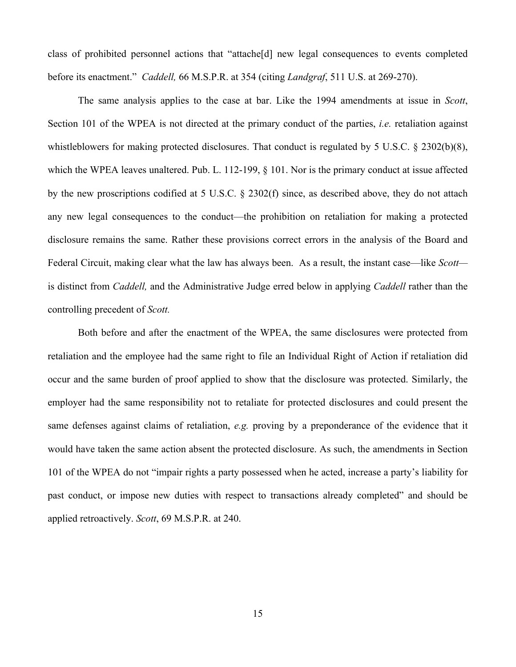class of prohibited personnel actions that "attache[d] new legal consequences to events completed before its enactment." *Caddell,* 66 M.S.P.R. at 354 (citing *Landgraf*, 511 U.S. at 269-270).

The same analysis applies to the case at bar. Like the 1994 amendments at issue in *Scott*, Section 101 of the WPEA is not directed at the primary conduct of the parties, *i.e.* retaliation against whistleblowers for making protected disclosures. That conduct is regulated by 5 U.S.C. § 2302(b)(8), which the WPEA leaves unaltered. Pub. L. 112-199, § 101. Nor is the primary conduct at issue affected by the new proscriptions codified at 5 U.S.C. § 2302(f) since, as described above, they do not attach any new legal consequences to the conduct—the prohibition on retaliation for making a protected disclosure remains the same. Rather these provisions correct errors in the analysis of the Board and Federal Circuit, making clear what the law has always been. As a result, the instant case—like *Scott* is distinct from *Caddell,* and the Administrative Judge erred below in applying *Caddell* rather than the controlling precedent of *Scott.*

Both before and after the enactment of the WPEA, the same disclosures were protected from retaliation and the employee had the same right to file an Individual Right of Action if retaliation did occur and the same burden of proof applied to show that the disclosure was protected. Similarly, the employer had the same responsibility not to retaliate for protected disclosures and could present the same defenses against claims of retaliation, *e.g.* proving by a preponderance of the evidence that it would have taken the same action absent the protected disclosure. As such, the amendments in Section 101 of the WPEA do not "impair rights a party possessed when he acted, increase a party's liability for past conduct, or impose new duties with respect to transactions already completed" and should be applied retroactively. *Scott*, 69 M.S.P.R. at 240.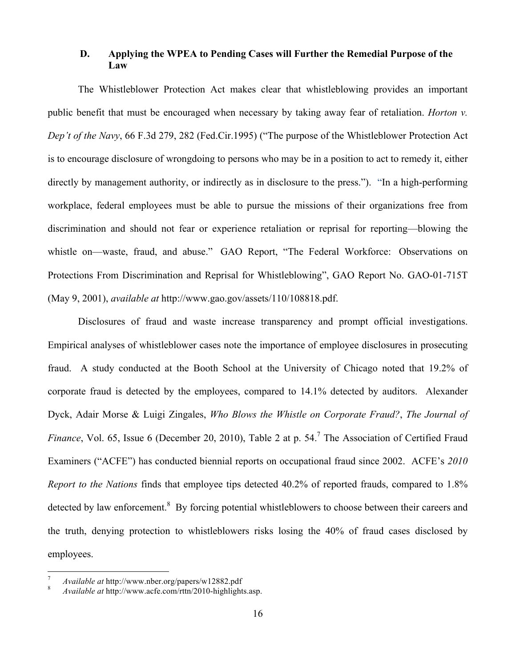# **D. Applying the WPEA to Pending Cases will Further the Remedial Purpose of the Law**

The Whistleblower Protection Act makes clear that whistleblowing provides an important public benefit that must be encouraged when necessary by taking away fear of retaliation. *Horton v. Dep't of the Navy*, 66 F.3d 279, 282 (Fed.Cir.1995) ("The purpose of the Whistleblower Protection Act is to encourage disclosure of wrongdoing to persons who may be in a position to act to remedy it, either directly by management authority, or indirectly as in disclosure to the press."). "In a high-performing workplace, federal employees must be able to pursue the missions of their organizations free from discrimination and should not fear or experience retaliation or reprisal for reporting—blowing the whistle on—waste, fraud, and abuse." GAO Report, "The Federal Workforce: Observations on Protections From Discrimination and Reprisal for Whistleblowing", GAO Report No. GAO-01-715T (May 9, 2001), *available at* http://www.gao.gov/assets/110/108818.pdf.

Disclosures of fraud and waste increase transparency and prompt official investigations. Empirical analyses of whistleblower cases note the importance of employee disclosures in prosecuting fraud. A study conducted at the Booth School at the University of Chicago noted that 19.2% of corporate fraud is detected by the employees, compared to 14.1% detected by auditors. Alexander Dyck, Adair Morse & Luigi Zingales, *Who Blows the Whistle on Corporate Fraud?*, *The Journal of*  Finance, Vol. 65, Issue 6 (December 20, 2010), Table 2 at p. 54.<sup>7</sup> The Association of Certified Fraud Examiners ("ACFE") has conducted biennial reports on occupational fraud since 2002. ACFE's *2010 Report to the Nations* finds that employee tips detected 40.2% of reported frauds, compared to 1.8% detected by law enforcement.<sup>8</sup> By forcing potential whistleblowers to choose between their careers and the truth, denying protection to whistleblowers risks losing the 40% of fraud cases disclosed by employees.

<sup>7</sup> *Available at* http://www.nber.org/papers/w12882.pdf <sup>8</sup> *Available at* http://www.acfe.com/rttn/2010-highlights.asp.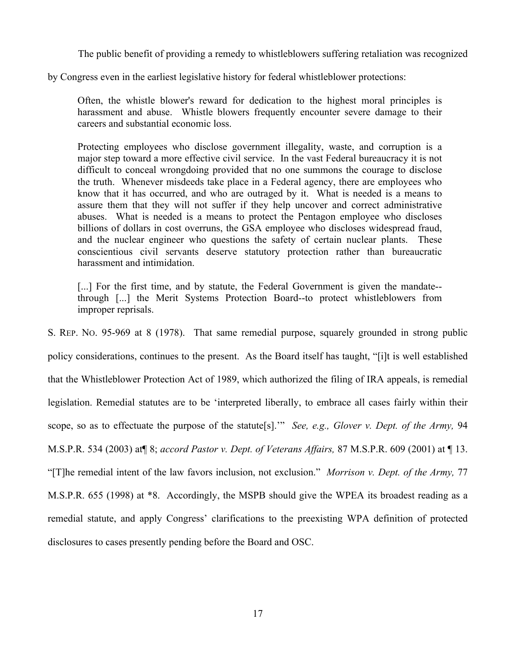The public benefit of providing a remedy to whistleblowers suffering retaliation was recognized

by Congress even in the earliest legislative history for federal whistleblower protections:

Often, the whistle blower's reward for dedication to the highest moral principles is harassment and abuse. Whistle blowers frequently encounter severe damage to their careers and substantial economic loss.

Protecting employees who disclose government illegality, waste, and corruption is a major step toward a more effective civil service. In the vast Federal bureaucracy it is not difficult to conceal wrongdoing provided that no one summons the courage to disclose the truth. Whenever misdeeds take place in a Federal agency, there are employees who know that it has occurred, and who are outraged by it. What is needed is a means to assure them that they will not suffer if they help uncover and correct administrative abuses. What is needed is a means to protect the Pentagon employee who discloses billions of dollars in cost overruns, the GSA employee who discloses widespread fraud, and the nuclear engineer who questions the safety of certain nuclear plants. These conscientious civil servants deserve statutory protection rather than bureaucratic harassment and intimidation.

[...] For the first time, and by statute, the Federal Government is given the mandate-through [...] the Merit Systems Protection Board--to protect whistleblowers from improper reprisals.

S. REP. NO. 95-969 at 8 (1978). That same remedial purpose, squarely grounded in strong public policy considerations, continues to the present. As the Board itself has taught, "[i]t is well established that the Whistleblower Protection Act of 1989, which authorized the filing of IRA appeals, is remedial legislation. Remedial statutes are to be 'interpreted liberally, to embrace all cases fairly within their scope, so as to effectuate the purpose of the statute[s].'" *See, e.g., Glover v. Dept. of the Army,* 94 M.S.P.R. 534 (2003) at¶ 8; *accord Pastor v. Dept. of Veterans Affairs,* 87 M.S.P.R. 609 (2001) at ¶ 13. "[T]he remedial intent of the law favors inclusion, not exclusion." *Morrison v. Dept. of the Army,* 77 M.S.P.R. 655 (1998) at \*8. Accordingly, the MSPB should give the WPEA its broadest reading as a remedial statute, and apply Congress' clarifications to the preexisting WPA definition of protected disclosures to cases presently pending before the Board and OSC.